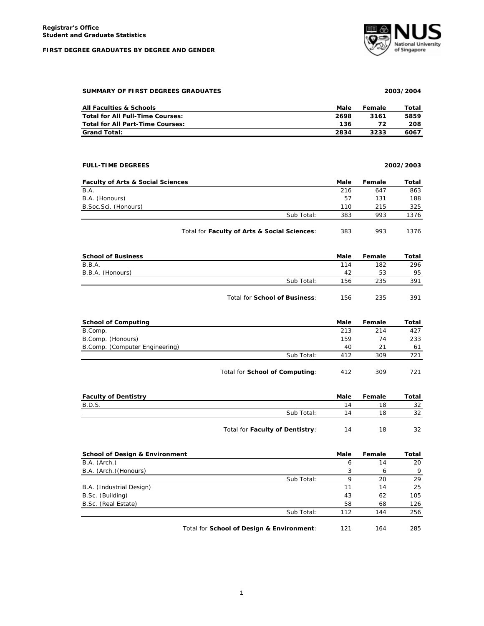# **FIRST DEGREE GRADUATES BY DEGREE AND GENDER**



## **SUMMARY OF FIRST DEGREES GRADUATES 2003/2004**

| All Faculties & Schools                 | Male | Female | Total |
|-----------------------------------------|------|--------|-------|
| Total for All Full-Time Courses:        | 2698 | 3161   | 5859  |
| <b>Total for All Part-Time Courses:</b> | 136  |        | 208   |
| <b>Grand Total:</b>                     | 2834 | 3233   | 6067  |

# **FULL-TIME DEGREES 2002/2003**

| <b>Faculty of Arts &amp; Social Sciences</b> |                                              | Male | Female | Total |
|----------------------------------------------|----------------------------------------------|------|--------|-------|
| B.A.                                         |                                              | 216  | 647    | 863   |
| B.A. (Honours)                               |                                              | 57   | 131    | 188   |
| B.Soc.Sci. (Honours)                         |                                              | 110  | 215    | 325   |
|                                              | Sub Total:                                   | 383  | 993    | 1376  |
|                                              | Total for Faculty of Arts & Social Sciences: | 383  | 993    | 1376  |

| <b>School of Business</b> |                               | Male | Female | Total |
|---------------------------|-------------------------------|------|--------|-------|
| B.B.A.                    |                               | 114  | 182    | 296   |
| B.B.A. (Honours)          |                               | 42   | 53     | 95    |
|                           | Sub Total:                    | 156  | 235    | 391   |
|                           | Total for School of Business: | 156  | 235    | 391   |

| <b>School of Computing</b>     |            | Male | Female | Total |
|--------------------------------|------------|------|--------|-------|
| B.Comp.                        |            | 213  | 214    | 427   |
| B.Comp. (Honours)              |            | 159  | 74     | 233   |
| B.Comp. (Computer Engineering) |            | 40   | 21     | 61    |
|                                | Sub Total: | 412  | 309    | 721   |
|                                |            |      |        |       |

| Total for School of Computing: | 412 | 309 | 721 |
|--------------------------------|-----|-----|-----|
|--------------------------------|-----|-----|-----|

| <b>Faculty of Dentistry</b> |                                 | Male | Female | Total |
|-----------------------------|---------------------------------|------|--------|-------|
| B.D.S.                      |                                 | 14   | 18     | 32    |
|                             | Sub Total:                      | 14   | 18     | 32    |
|                             | Total for Faculty of Dentistry: | 14   | 18     | 32    |

| <b>School of Design &amp; Environment</b> |                                           | Male | Female | Total |
|-------------------------------------------|-------------------------------------------|------|--------|-------|
| B.A. (Arch.)                              |                                           | 6    | 14     | 20    |
| B.A. (Arch.) (Honours)                    |                                           | 3    | 6      | -9    |
|                                           | Sub Total:                                | Q    | 20     | 29    |
| B.A. (Industrial Design)                  |                                           | 11   | 14     | 25    |
| B.Sc. (Building)                          |                                           | 43   | 62     | 105   |
| B.Sc. (Real Estate)                       |                                           | 58   | 68     | 126   |
|                                           | Sub Total:                                | 112  | 144    | 256   |
|                                           | Total for School of Design & Environment: | 121  | 164    | 285   |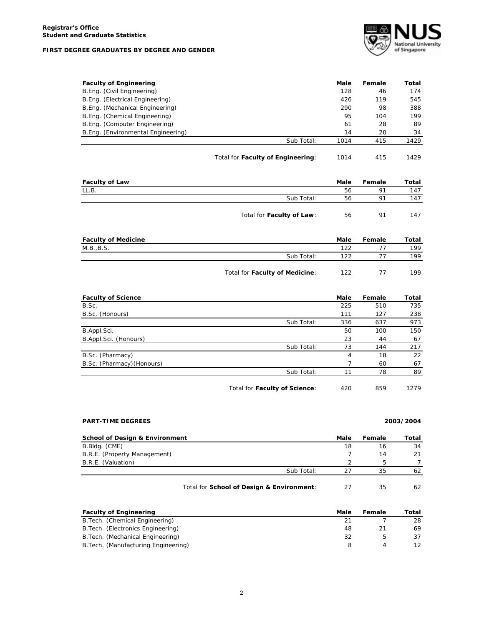## **FIRST DEGREE GRADUATES BY DEGREE AND GENDER**



| <b>Faculty of Engineering</b>      |                                   | Male | Female | Total |
|------------------------------------|-----------------------------------|------|--------|-------|
| B.Eng. (Civil Engineering)         |                                   | 128  | 46     | 174   |
| B.Eng. (Electrical Engineering)    |                                   | 426  | 119    | 545   |
| B.Eng. (Mechanical Engineering)    |                                   | 290  | 98     | 388   |
| B.Eng. (Chemical Engineering)      |                                   | 95   | 104    | 199   |
| B.Eng. (Computer Engineering)      |                                   | 61   | 28     | 89    |
| B.Eng. (Environmental Engineering) |                                   | 14   | 20     | 34    |
|                                    | Sub Total:                        | 1014 | 415    | 1429  |
|                                    |                                   |      |        |       |
|                                    | Total for Faculty of Engineering: | 1014 | 415    | 1429  |

| <b>Faculty of Law</b> |                           | Male | Female | Total |
|-----------------------|---------------------------|------|--------|-------|
| LL.B.                 |                           | 56   | 91     | 147   |
|                       | Sub Total:                | 56   | 91     | 147   |
|                       | Total for Faculty of Law: | 56   | 91     | 147   |

| <b>Faculty of Medicine</b> |                                | Male | Female | Total |
|----------------------------|--------------------------------|------|--------|-------|
| M.B., B.S.                 |                                | 122  |        | 199   |
|                            | Sub Total:                     | 122  |        | 199   |
|                            | Total for Faculty of Medicine: | 122  |        | 199   |

| <b>Faculty of Science</b>  |                               | Male | Female | Total |
|----------------------------|-------------------------------|------|--------|-------|
| B.Sc.                      |                               | 225  | 510    | 735   |
| B.Sc. (Honours)            |                               | 111  | 127    | 238   |
|                            | Sub Total:                    | 336  | 637    | 973   |
| B.Appl.Sci.                |                               | 50   | 100    | 150   |
| B.Appl.Sci. (Honours)      |                               | 23   | 44     | 67    |
|                            | Sub Total:                    | 73   | 144    | 217   |
| B.Sc. (Pharmacy)           |                               | 4    | 18     | 22    |
| B.Sc. (Pharmacy) (Honours) |                               |      | 60     | 67    |
|                            | Sub Total:                    | 11   | 78     | 89    |
|                            |                               |      |        |       |
|                            | Total for Faculty of Science: | 420  | 859    | 1279  |

# **PART-TIME DEGREES 2003/2004**

| <b>School of Design &amp; Environment</b> |            | Male | Female | Total |
|-------------------------------------------|------------|------|--------|-------|
| B.Bldg. (CME)                             |            | 18   | 16     | 34    |
| B.R.E. (Property Management)              |            |      | 14     | 21    |
| B.R.E. (Valuation)                        |            |      | h      |       |
|                                           | Sub Total: |      | 35     | 62    |
|                                           |            |      |        |       |

# Total for **School of Design & Environment**: 27 35 62

| <b>Faculty of Engineering</b>        | Male | Female | Total |
|--------------------------------------|------|--------|-------|
| B. Tech. (Chemical Engineering)      |      |        | 28    |
| B. Tech. (Electronics Engineering)   | 48   |        | 69    |
| B. Tech. (Mechanical Engineering)    | 32   |        | 37    |
| B. Tech. (Manufacturing Engineering) |      |        |       |